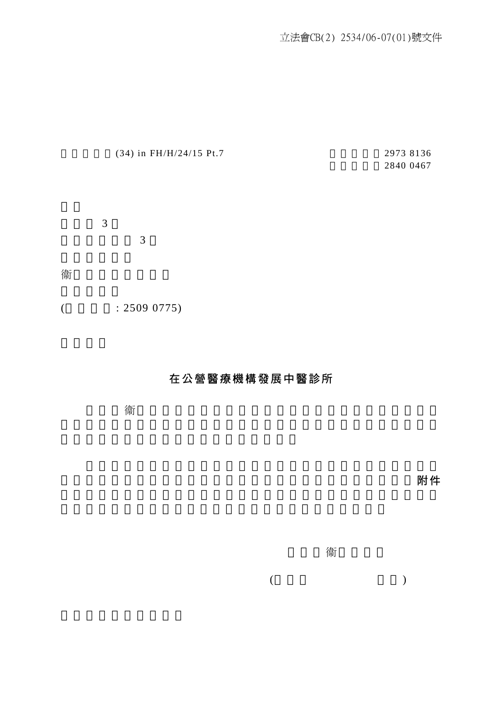立法會CB(2) 2534/06-07(01)號文件

|   | (34) in FH/H/24/15 Pt.7 |   | 2973 8136<br>2840 0467 |  |
|---|-------------------------|---|------------------------|--|
|   |                         |   |                        |  |
|   |                         |   |                        |  |
|   | 3                       |   |                        |  |
|   |                         | 3 |                        |  |
| 衞 |                         |   |                        |  |

 $($  : 2509 0775)

衞

## 在公營醫療機構發展中醫診所

立法會 衞生事務委員會在二零零七年五月十四日的會議上討論上

營辦的所有中醫診所名單。我們已盡力蒐集這方面的資料,並在附件

衞

 $($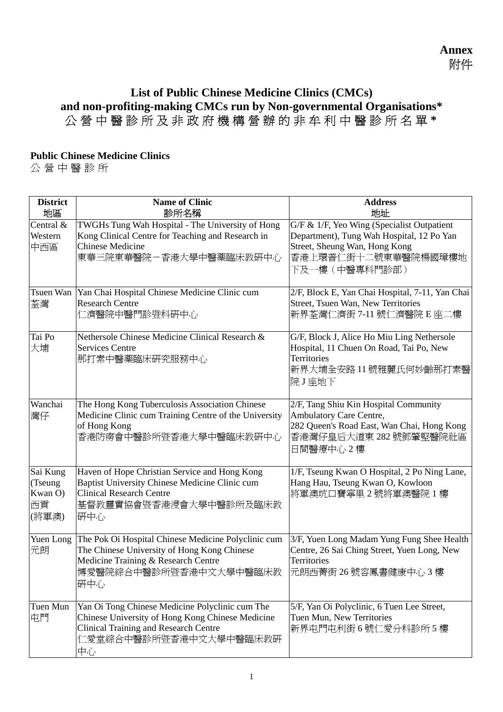## **List of Public Chinese Medicine Clinics (CMCs) and non-profiting-making CMCs run by Non-governmental Organisations\*** 公營中 醫診所及非政 府機構營辦的 非牟利中醫診 所名單 **\***

## **Public Chinese Medicine Clinics**

公 營中醫 診 所

| <b>District</b><br>地區                         | <b>Name of Clinic</b><br>診所名稱                                                                                                                                                       | <b>Address</b><br>地址                                                                                                                                             |
|-----------------------------------------------|-------------------------------------------------------------------------------------------------------------------------------------------------------------------------------------|------------------------------------------------------------------------------------------------------------------------------------------------------------------|
| Central &<br>Western<br>中西區                   | TWGHs Tung Wah Hospital - The University of Hong<br>Kong Clinical Centre for Teaching and Research in<br><b>Chinese Medicine</b><br>東華三院東華醫院-香港大學中醫藥臨床教研中心                          | G/F & 1/F, Yeo Wing (Specialist Outpatient<br>Department), Tung Wah Hospital, 12 Po Yan<br>Street, Sheung Wan, Hong Kong<br>香港上環普仁街十二號東華醫院楊國璋樓地<br>下及一樓(中醫專科門診部) |
| Tsuen Wan<br>荃灣                               | Yan Chai Hospital Chinese Medicine Clinic cum<br><b>Research Centre</b><br>仁濟醫院中醫門診暨科研中心                                                                                            | 2/F, Block E, Yan Chai Hospital, 7-11, Yan Chai<br>Street, Tsuen Wan, New Territories<br>新界荃灣仁濟街 7-11 號仁濟醫院 E 座二樓                                                |
| Tai Po<br>大埔                                  | Nethersole Chinese Medicine Clinical Research &<br><b>Services Centre</b><br>那打素中醫藥臨床研究服務中心                                                                                         | G/F, Block J, Alice Ho Miu Ling Nethersole<br>Hospital, 11 Chuen On Road, Tai Po, New<br><b>Territories</b><br>新界大埔全安路11號雅麗氏何妙齡那打素醫<br>院J座地下                     |
| Wanchai<br>灣仔                                 | The Hong Kong Tuberculosis Association Chinese<br>Medicine Clinic cum Training Centre of the University<br>of Hong Kong<br>香港防癆會中醫診所暨香港大學中醫臨床教研中心                                   | 2/F, Tang Shiu Kin Hospital Community<br><b>Ambulatory Care Centre,</b><br>282 Queen's Road East, Wan Chai, Hong Kong<br>香港灣仔皇后大道東 282號鄧肇堅醫院社區<br>日間醫療中心2樓       |
| Sai Kung<br>(Tseung<br>Kwan O)<br>西貢<br>(將軍澳) | Haven of Hope Christian Service and Hong Kong<br>Baptist University Chinese Medicine Clinic cum<br><b>Clinical Research Centre</b><br> 基督教靈實協會暨香港浸會大學中醫診所及臨床教<br>研中心                | 1/F, Tseung Kwan O Hospital, 2 Po Ning Lane,<br>Hang Hau, Tseung Kwan O, Kowloon<br>將軍澳坑口寶寧里2號將軍澳醫院1樓                                                            |
| Yuen Long<br>元朗                               | The Pok Oi Hospital Chinese Medicine Polyclinic cum<br>The Chinese University of Hong Kong Chinese<br>Medicine Training & Research Centre<br>博愛醫院綜合中醫診所暨香港中文大學中醫臨床教<br>研中心          | 3/F, Yuen Long Madam Yung Fung Shee Health<br>Centre, 26 Sai Ching Street, Yuen Long, New<br>Territories<br>元朗西菁街 26號容鳳書健康中心 3樓                                  |
| Tuen Mun<br>屯門                                | Yan Oi Tong Chinese Medicine Polyclinic cum The<br>Chinese University of Hong Kong Chinese Medicine<br><b>Clinical Training and Research Centre</b><br>仁愛堂綜合中醫診所暨香港中文大學中醫臨床教研<br>中心 | 5/F, Yan Oi Polyclinic, 6 Tuen Lee Street,<br>Tuen Mun, New Territories<br>新界屯門屯利街6號仁愛分科診所5樓                                                                     |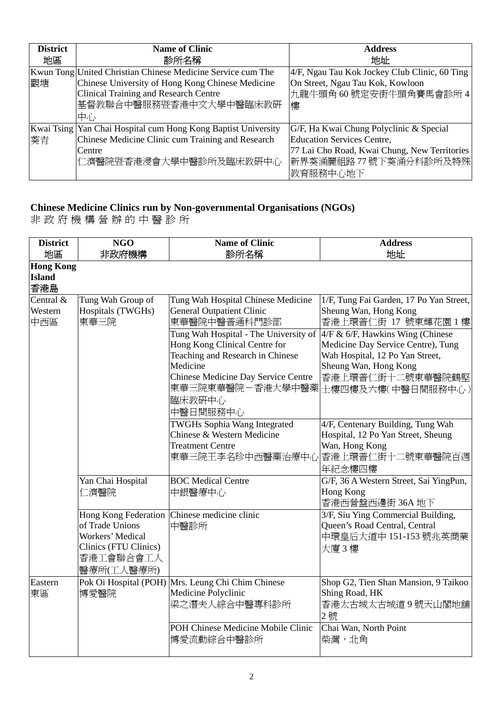| <b>District</b><br>地區 | <b>Name of Clinic</b><br>診所名稱                                                                                                                                                            | <b>Address</b><br>地址                                                                                                     |
|-----------------------|------------------------------------------------------------------------------------------------------------------------------------------------------------------------------------------|--------------------------------------------------------------------------------------------------------------------------|
| 觀塘                    | Kwun Tong United Christian Chinese Medicine Service cum The<br>Chinese University of Hong Kong Chinese Medicine<br>Clinical Training and Research Centre<br>基督教聯合中醫服務暨香港中文大學中醫臨床教研<br>中心 | 4/F, Ngau Tau Kok Jockey Club Clinic, 60 Ting<br>On Street, Ngau Tau Kok, Kowloon<br>九龍牛頭角60號定安街牛頭角賽馬會診所4<br>樓           |
|                       | Kwai Tsing Yan Chai Hospital cum Hong Kong Baptist University                                                                                                                            | G/F, Ha Kwai Chung Polyclinic & Special                                                                                  |
| 葵青                    | Chinese Medicine Clinic cum Training and Research<br>Centre<br>仁濟醫院暨香港浸會大學中醫診所及臨床教研中心                                                                                                    | <b>Education Services Centre,</b><br>77 Lai Cho Road, Kwai Chung, New Territories<br> 新界葵涌麗祖路77號下葵涌分科診所及特殊 <br> 教育服務中心地下 |

## **Chinese Medicine Clinics run by Non-governmental Organisations (NGOs)**

非 政府機 構營辦的 中醫診 所

| <b>District</b><br>地區                    | <b>NGO</b><br>非政府機構                                                                                    | <b>Name of Clinic</b><br>診所名稱                                                                                                                                                                                                                                                                     | <b>Address</b><br>地址                                                                                                                                                                                                                                                    |
|------------------------------------------|--------------------------------------------------------------------------------------------------------|---------------------------------------------------------------------------------------------------------------------------------------------------------------------------------------------------------------------------------------------------------------------------------------------------|-------------------------------------------------------------------------------------------------------------------------------------------------------------------------------------------------------------------------------------------------------------------------|
| <b>Hong Kong</b><br><b>Island</b><br>香港島 |                                                                                                        |                                                                                                                                                                                                                                                                                                   |                                                                                                                                                                                                                                                                         |
| Central &<br>Western<br>中西區              | Tung Wah Group of<br>Hospitals (TWGHs)<br>東華三院                                                         | Tung Wah Hospital Chinese Medicine<br><b>General Outpatient Clinic</b><br>東華醫院中醫普通科門診部<br>Tung Wah Hospital - The University of<br>Hong Kong Clinical Centre for<br>Teaching and Research in Chinese<br>Medicine<br>Chinese Medicine Day Service Centre<br>東華三院東華醫院-香港大學中醫藥<br>臨床教研中心<br>中醫日間服務中心 | 1/F, Tung Fai Garden, 17 Po Yan Street,<br>Sheung Wan, Hong Kong<br>香港上環普仁街 17 號東輝花園 1 樓<br>4/F & 6/F, Hawkins Wing (Chinese<br>Medicine Day Service Centre), Tung<br>Wah Hospital, 12 Po Yan Street,<br>Sheung Wan, Hong Kong<br>香港上環普仁街十二號東華醫院鶴堅<br>士樓四樓及六樓(中醫日間服務中心) |
|                                          | Yan Chai Hospital                                                                                      | <b>TWGHs Sophia Wang Integrated</b><br>Chinese & Western Medicine<br><b>Treatment Centre</b><br><b>BOC Medical Centre</b>                                                                                                                                                                         | 4/F, Centenary Building, Tung Wah<br>Hospital, 12 Po Yan Street, Sheung<br>Wan, Hong Kong<br>東華三院王李名珍中西醫藥治療中心 香港上環普仁街十二號東華醫院百週<br>年紀念樓四樓<br>G/F, 36 A Western Street, Sai YingPun,                                                                                      |
|                                          | 二濟醫院<br>of Trade Unions<br><b>Workers' Medical</b><br>Clinics (FTU Clinics)<br>香港工會聯合會工人<br>醫療所(工人醫療所) | 中銀醫療中心<br>Hong Kong Federation Chinese medicine clinic<br>中醫診所                                                                                                                                                                                                                                    | Hong Kong<br>香港西營盤西邊街 36A 地下<br>3/F, Siu Ying Commercial Building,<br>Queen's Road Central, Central<br>中環皇后大道中 151-153 號兆英商業<br>大廈3樓                                                                                                                                    |
| Eastern<br>東區                            | 博愛醫院                                                                                                   | Pok Oi Hospital (POH) Mrs. Leung Chi Chim Chinese<br>Medicine Polyclinic<br>梁之潛夫人綜合中醫專科診所<br>POH Chinese Medicine Mobile Clinic<br>博愛流動綜合中醫診所                                                                                                                                                     | Shop G2, Tien Shan Mansion, 9 Taikoo<br>Shing Road, HK<br>香港太古城太古城道9號天山閣地舖<br>2號<br>Chai Wan, North Point<br>柴灣,北角                                                                                                                                                      |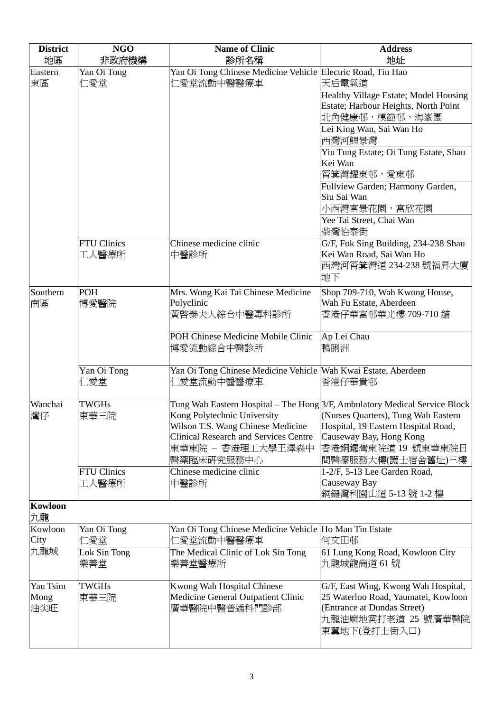| <b>District</b>         | <b>NGO</b>                  | <b>Name of Clinic</b>                                                                                                                               | <b>Address</b>                                                                                                                                                                                                                 |
|-------------------------|-----------------------------|-----------------------------------------------------------------------------------------------------------------------------------------------------|--------------------------------------------------------------------------------------------------------------------------------------------------------------------------------------------------------------------------------|
| 地區                      | 非政府機構                       | 診所名稱                                                                                                                                                | 地址                                                                                                                                                                                                                             |
| Eastern<br>東區           | Yan Oi Tong<br>仁愛堂          | Yan Oi Tong Chinese Medicine Vehicle Electric Road, Tin Hao<br>仁愛堂流動中醫醫療車                                                                           | 天后電氣道                                                                                                                                                                                                                          |
|                         |                             |                                                                                                                                                     | Healthy Village Estate; Model Housing<br>Estate; Harbour Heights, North Point<br>北角健康邨,模範邨,海峯園                                                                                                                                 |
|                         |                             |                                                                                                                                                     | Lei King Wan, Sai Wan Ho<br>西灣河鯉景灣                                                                                                                                                                                             |
|                         |                             |                                                                                                                                                     | Yiu Tung Estate; Oi Tung Estate, Shau<br>Kei Wan<br>筲箕灣耀東邨,愛東邨                                                                                                                                                                 |
|                         |                             |                                                                                                                                                     | Fullview Garden; Harmony Garden,<br>Siu Sai Wan<br>小西灣富景花園,富欣花園                                                                                                                                                                |
|                         |                             |                                                                                                                                                     | Yee Tai Street, Chai Wan<br>柴灣怡泰街                                                                                                                                                                                              |
|                         | <b>FTU Clinics</b><br>工人醫療所 | Chinese medicine clinic<br>中醫診所                                                                                                                     | G/F, Fok Sing Building, 234-238 Shau<br>Kei Wan Road, Sai Wan Ho<br>西灣河筲箕灣道 234-238 號福昇大廈<br>地下                                                                                                                                |
| Southern<br>南區          | POH<br>博愛醫院                 | Mrs. Wong Kai Tai Chinese Medicine<br>Polyclinic<br>黃啓泰夫人綜合中醫專科診所                                                                                   | Shop 709-710, Wah Kwong House,<br>Wah Fu Estate, Aberdeen<br>香港仔華富邨華光樓 709-710 舖                                                                                                                                               |
|                         |                             | POH Chinese Medicine Mobile Clinic<br>博愛流動綜合中醫診所                                                                                                    | Ap Lei Chau<br>鴨脷洲                                                                                                                                                                                                             |
|                         | Yan Oi Tong<br>二愛堂          | Yan Oi Tong Chinese Medicine Vehicle Wah Kwai Estate, Aberdeen<br>仁愛堂流動中醫醫療車                                                                        | 香港仔華貴邨                                                                                                                                                                                                                         |
| Wanchai<br>灣仔           | <b>TWGHs</b><br>東華三院        | Kong Polytechnic University<br>Wilson T.S. Wang Chinese Medicine<br><b>Clinical Research and Services Centre</b><br>東華東院 – 香港理工大學王澤森中<br>醫藥臨床研究服務中心 | Tung Wah Eastern Hospital – The Hong 3/F, Ambulatory Medical Service Block<br>(Nurses Quarters), Tung Wah Eastern<br>Hospital, 19 Eastern Hospital Road,<br>Causeway Bay, Hong Kong<br>香港銅鑼灣東院道 19 號東華東院日<br>間醫療服務大樓(護士宿舍舊址)三樓 |
|                         | <b>FTU Clinics</b><br>工人醫療所 | Chinese medicine clinic<br>中醫診所                                                                                                                     | 1-2/F, 5-13 Lee Garden Road,<br>Causeway Bay<br>銅鑼灣利園山道 5-13號 1-2樓                                                                                                                                                             |
| Kowloon<br>九龍           |                             |                                                                                                                                                     |                                                                                                                                                                                                                                |
| Kowloon<br>City         | Yan Oi Tong<br>仁愛堂          | Yan Oi Tong Chinese Medicine Vehicle Ho Man Tin Estate<br>仁愛堂流動中醫醫療車                                                                                | 何文田邨                                                                                                                                                                                                                           |
| 九龍城                     | Lok Sin Tong<br>樂善堂         | The Medical Clinic of Lok Sin Tong<br>樂善堂醫療所                                                                                                        | 61 Lung Kong Road, Kowloon City<br>九龍城龍崗道 61號                                                                                                                                                                                  |
| Yau Tsim<br>Mong<br>油尖旺 | <b>TWGHs</b><br>東華三院        | Kwong Wah Hospital Chinese<br>Medicine General Outpatient Clinic<br>廣華醫院中醫普通科門診部                                                                    | G/F, East Wing, Kwong Wah Hospital,<br>25 Waterloo Road, Yaumatei, Kowloon<br>(Entrance at Dundas Street)<br>九龍油麻地窩打老道 25 號廣華醫院<br>東翼地下(登打士街入口)                                                                                |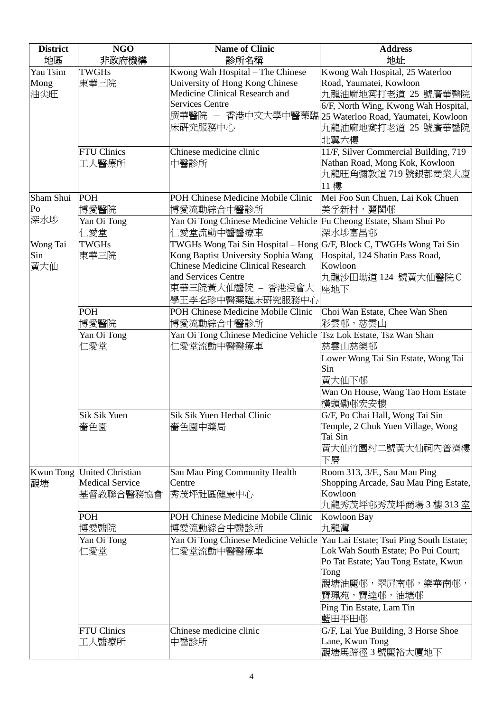| <b>District</b><br>地區 | <b>NGO</b>              | <b>Name of Clinic</b>                                                            | <b>Address</b><br>地址                                       |
|-----------------------|-------------------------|----------------------------------------------------------------------------------|------------------------------------------------------------|
|                       | 非政府機構                   | 診所名稱                                                                             |                                                            |
| Yau Tsim<br>Mong      | <b>TWGHs</b><br>東華三院    | Kwong Wah Hospital - The Chinese<br>University of Hong Kong Chinese              | Kwong Wah Hospital, 25 Waterloo<br>Road, Yaumatei, Kowloon |
| 油尖旺                   |                         | Medicine Clinical Research and                                                   | 九龍油麻地窩打老道 25 號廣華醫院                                         |
|                       |                         | <b>Services Centre</b>                                                           | 6/F, North Wing, Kwong Wah Hospital,                       |
|                       |                         |                                                                                  | 廣華醫院 - 香港中文大學中醫藥臨 25 Waterloo Road, Yaumatei, Kowloon      |
|                       |                         | 床研究服務中心                                                                          | 九龍油麻地窩打老道 25 號廣華醫院<br>北翼六樓                                 |
|                       | <b>FTU Clinics</b>      | Chinese medicine clinic                                                          | 11/F, Silver Commercial Building, 719                      |
|                       | 工人醫療所                   | 中醫診所                                                                             | Nathan Road, Mong Kok, Kowloon                             |
|                       |                         |                                                                                  | 九龍旺角彌敦道 719號銀都商業大廈                                         |
|                       |                         |                                                                                  | 11樓                                                        |
| Sham Shui             | POH                     | POH Chinese Medicine Mobile Clinic                                               | Mei Foo Sun Chuen, Lai Kok Chuen                           |
| Po                    | 博愛醫院                    | 博愛流動綜合中醫診所                                                                       | 美孚新村, 麗閣邨                                                  |
| 深水埗                   | Yan Oi Tong             | Yan Oi Tong Chinese Medicine Vehicle Fu Cheong Estate, Sham Shui Po              |                                                            |
|                       | 仁愛堂                     | 仁愛堂流動中醫醫療車                                                                       | 深水埗富昌邨                                                     |
| Wong Tai              | <b>TWGHs</b>            | TWGHs Wong Tai Sin Hospital - Hong G/F, Block C, TWGHs Wong Tai Sin              |                                                            |
| Sin<br>黃大仙            | 東華三院                    | Kong Baptist University Sophia Wang<br><b>Chinese Medicine Clinical Research</b> | Hospital, 124 Shatin Pass Road,<br>Kowloon                 |
|                       |                         | and Services Centre                                                              | 九龍沙田坳道 124 號黃大仙醫院C                                         |
|                       |                         | 東華三院黃大仙醫院 - 香港浸會大                                                                | 座地下                                                        |
|                       |                         | 學王李名珍中醫藥臨床硏究服務中心                                                                 |                                                            |
|                       | POH                     | POH Chinese Medicine Mobile Clinic                                               | Choi Wan Estate, Chee Wan Shen                             |
|                       | 博愛醫院                    | 博愛流動綜合中醫診所                                                                       | 彩雲邨,慈雲山                                                    |
|                       | Yan Oi Tong             | Yan Oi Tong Chinese Medicine Vehicle Tsz Lok Estate, Tsz Wan Shan                |                                                            |
|                       | 仁愛堂                     | 二愛堂流動中醫醫療車                                                                       | 慈雲山慈樂邨                                                     |
|                       |                         |                                                                                  | Lower Wong Tai Sin Estate, Wong Tai                        |
|                       |                         |                                                                                  | Sin                                                        |
|                       |                         |                                                                                  | 黃大仙下邨                                                      |
|                       |                         |                                                                                  | Wan On House, Wang Tao Hom Estate                          |
|                       |                         |                                                                                  | 橫頭磡邨宏安樓                                                    |
|                       | Sik Sik Yuen            | Sik Sik Yuen Herbal Clinic                                                       | G/F, Po Chai Hall, Wong Tai Sin                            |
|                       | 嗇色園                     | 嗇色園中藥局                                                                           | Temple, 2 Chuk Yuen Village, Wong                          |
|                       |                         |                                                                                  | Tai Sin                                                    |
|                       |                         |                                                                                  | 黃大仙竹園村二號黃大仙祠內普濟樓<br>下層                                     |
| <b>Kwun Tong</b>      | <b>United Christian</b> | Sau Mau Ping Community Health                                                    | Room 313, 3/F., Sau Mau Ping                               |
| 觀塘                    | <b>Medical Service</b>  | Centre                                                                           | Shopping Arcade, Sau Mau Ping Estate,                      |
|                       | 基督教聯合醫務協會               | 秀茂坪社區健康中心                                                                        | Kowloon                                                    |
|                       | POH                     | POH Chinese Medicine Mobile Clinic                                               | 九龍秀茂坪邨秀茂坪商場3樓313室                                          |
|                       | 博愛醫院                    | 博愛流動綜合中醫診所                                                                       | Kowloon Bay<br>九龍灣                                         |
|                       | Yan Oi Tong             | Yan Oi Tong Chinese Medicine Vehicle   Yau Lai Estate; Tsui Ping South Estate;   |                                                            |
|                       | 仁愛堂                     | 仁愛堂流動中醫醫療車                                                                       | Lok Wah South Estate; Po Pui Court;                        |
|                       |                         |                                                                                  | Po Tat Estate; Yau Tong Estate, Kwun                       |
|                       |                         |                                                                                  | Tong                                                       |
|                       |                         |                                                                                  | 觀塘油麗邨,翠屏南邨,樂華南邨,                                           |
|                       |                         |                                                                                  | 寶珮苑,寶達邨,油塘邨                                                |
|                       |                         |                                                                                  | Ping Tin Estate, Lam Tin                                   |
|                       |                         |                                                                                  | 藍田平田邨                                                      |
|                       | <b>FTU Clinics</b>      | Chinese medicine clinic                                                          | G/F, Lai Yue Building, 3 Horse Shoe                        |
|                       | 工人醫療所                   | 中醫診所                                                                             | Lane, Kwun Tong                                            |
|                       |                         |                                                                                  | 觀塘馬蹄徑3號麗裕大廈地下                                              |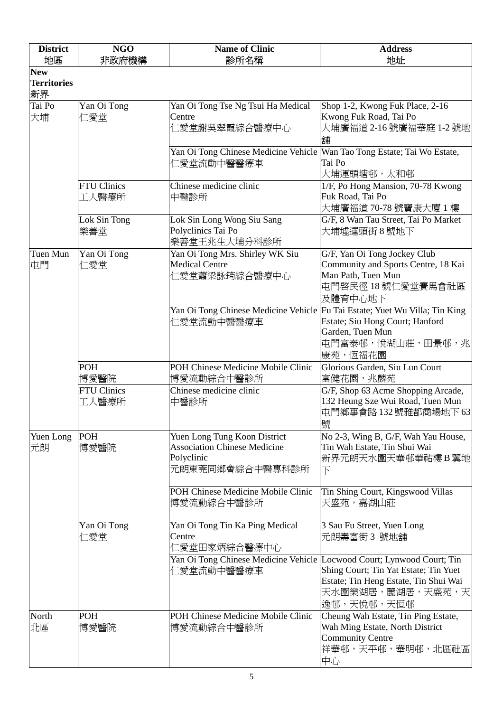| <b>District</b>          | <b>NGO</b>                  | <b>Name of Clinic</b>                                                                                | <b>Address</b>                                                                                                                |
|--------------------------|-----------------------------|------------------------------------------------------------------------------------------------------|-------------------------------------------------------------------------------------------------------------------------------|
| 地區<br><b>New</b>         | 非政府機構                       | 診所名稱                                                                                                 | 地址                                                                                                                            |
| <b>Territories</b><br>新界 |                             |                                                                                                      |                                                                                                                               |
| Tai Po<br>大埔             | Yan Oi Tong<br>仁愛堂          | Yan Oi Tong Tse Ng Tsui Ha Medical<br>Centre<br>仁愛堂謝吳翠霞綜合醫療中心                                        | Shop 1-2, Kwong Fuk Place, 2-16<br>Kwong Fuk Road, Tai Po<br>大埔廣福道 2-16號廣福華庭 1-2號地<br>舖                                       |
|                          |                             | Yan Oi Tong Chinese Medicine Vehicle   Wan Tao Tong Estate; Tai Wo Estate,<br>仁愛堂流動中醫醫療車             | Tai Po<br>大埔運頭塘邨,太和邨                                                                                                          |
|                          | <b>FTU Clinics</b><br>工人醫療所 | Chinese medicine clinic<br>中醫診所                                                                      | 1/F, Po Hong Mansion, 70-78 Kwong<br>Fuk Road, Tai Po<br>大埔廣福道 70-78 號寶康大廈 1 樓                                                |
|                          | Lok Sin Tong<br>樂善堂         | Lok Sin Long Wong Siu Sang<br>Polyclinics Tai Po<br>樂善堂王兆生大埔分科診所                                     | G/F, 8 Wan Tau Street, Tai Po Market<br>大埔墟運頭街 8 號地下                                                                          |
| Tuen Mun<br>屯門           | Yan Oi Tong<br>仁愛堂          | Yan Oi Tong Mrs. Shirley WK Siu<br><b>Medical Centre</b><br>仁愛堂蕭梁詠筠綜合醫療中心                            | G/F, Yan Oi Tong Jockey Club<br>Community and Sports Centre, 18 Kai<br>Man Path, Tuen Mun<br>屯門啓民徑 18號仁愛堂賽馬會社區<br>及體育中心地下     |
|                          |                             | Yan Oi Tong Chinese Medicine Vehicle Fu Tai Estate; Yuet Wu Villa; Tin King<br>仁愛堂流動中醫醫療車            | Estate; Siu Hong Court; Hanford<br>Garden, Tuen Mun<br>屯門富泰邨,悅湖山莊,田景邨,兆<br>康苑,恆福花園                                            |
|                          | POH<br>博愛醫院                 | POH Chinese Medicine Mobile Clinic<br>博愛流動綜合中醫診所                                                     | Glorious Garden, Siu Lun Court<br>富健花園,兆麟苑                                                                                    |
|                          | <b>FTU Clinics</b><br>工人醫療所 | Chinese medicine clinic<br>中醫診所                                                                      | G/F, Shop 63 Acme Shopping Arcade,<br>132 Heung Sze Wui Road, Tuen Mun<br>屯門鄉事會路132號雅都商場地下63<br>號                             |
| Yuen Long<br>元朗          | POH<br>博愛醫院                 | Yuen Long Tung Koon District<br><b>Association Chinese Medicine</b><br>Polyclinic<br>元朗東莞同鄉會綜合中醫專科診所 | No 2-3, Wing B, G/F, Wah Yau House,<br>Tin Wah Estate, Tin Shui Wai<br>新界元朗天水圍天華邨華祐樓B翼地<br>$\overline{\Gamma}$                |
|                          |                             | POH Chinese Medicine Mobile Clinic<br>博愛流動綜合中醫診所                                                     | Tin Shing Court, Kingswood Villas<br>天盛苑,嘉湖山莊                                                                                 |
|                          | Yan Oi Tong<br>仁愛堂          | Yan Oi Tong Tin Ka Ping Medical<br>Centre<br>仁愛堂田家炳綜合醫療中心                                            | 3 Sau Fu Street, Yuen Long<br>元朗壽富街 3 號地舖                                                                                     |
|                          |                             | Yan Oi Tong Chinese Medicine Vehicle Locwood Court; Lynwood Court; Tin<br>仁愛堂流動中醫醫療車                 | Shing Court; Tin Yat Estate; Tin Yuet<br>Estate; Tin Heng Estate, Tin Shui Wai<br>天水圍樂湖居,麗湖居,天盛苑,天<br>逸邨,天悅邨,天恒邨              |
| North<br>北區              | POH<br>博愛醫院                 | POH Chinese Medicine Mobile Clinic<br>博愛流動綜合中醫診所                                                     | Cheung Wah Estate, Tin Ping Estate,<br>Wah Ming Estate, North District<br><b>Community Centre</b><br> 祥華邨,天平邨,華明邨,北區社區 <br>中心 |